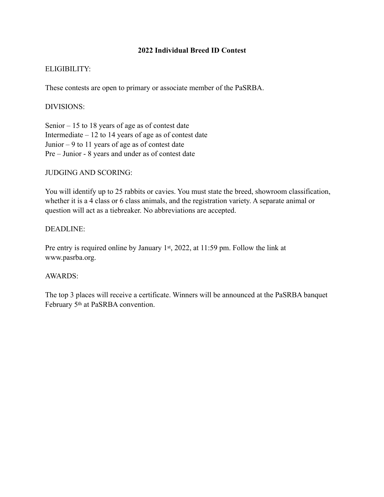# **2022 Individual Breed ID Contest**

## ELIGIBILITY:

These contests are open to primary or associate member of the PaSRBA.

### DIVISIONS:

Senior – 15 to 18 years of age as of contest date Intermediate  $-12$  to 14 years of age as of contest date Junior – 9 to 11 years of age as of contest date Pre – Junior - 8 years and under as of contest date

## JUDGING AND SCORING:

You will identify up to 25 rabbits or cavies. You must state the breed, showroom classification, whether it is a 4 class or 6 class animals, and the registration variety. A separate animal or question will act as a tiebreaker. No abbreviations are accepted.

#### DEADLINE:

Pre entry is required online by January 1st, 2022, at 11:59 pm. Follow the link at www.pasrba.org.

# AWARDS:

The top 3 places will receive a certificate. Winners will be announced at the PaSRBA banquet February 5th at PaSRBA convention.